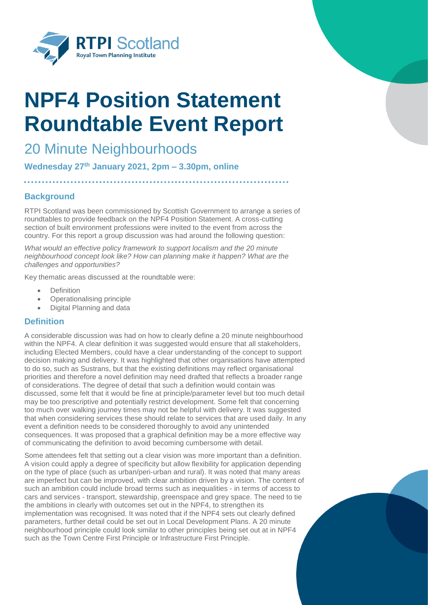

# **NPF4 Position Statement Roundtable Event Report**

## 20 Minute Neighbourhoods

**Wednesday 27th January 2021, 2pm – 3.30pm, online**

### **Background**

RTPI Scotland was been commissioned by Scottish Government to arrange a series of roundtables to provide feedback on the NPF4 Position Statement. A cross-cutting section of built environment professions were invited to the event from across the country. For this report a group discussion was had around the following question:

*What would an effective policy framework to support localism and the 20 minute neighbourhood concept look like? How can planning make it happen? What are the challenges and opportunities?*

Key thematic areas discussed at the roundtable were:

- Definition
- Operationalising principle
- Digital Planning and data

#### **Definition**

A considerable discussion was had on how to clearly define a 20 minute neighbourhood within the NPF4. A clear definition it was suggested would ensure that all stakeholders, including Elected Members, could have a clear understanding of the concept to support decision making and delivery. It was highlighted that other organisations have attempted to do so, such as Sustrans, but that the existing definitions may reflect organisational priorities and therefore a novel definition may need drafted that reflects a broader range of considerations. The degree of detail that such a definition would contain was discussed, some felt that it would be fine at principle/parameter level but too much detail may be too prescriptive and potentially restrict development. Some felt that concerning too much over walking journey times may not be helpful with delivery. It was suggested that when considering services these should relate to services that are used daily. In any event a definition needs to be considered thoroughly to avoid any unintended consequences. It was proposed that a graphical definition may be a more effective way of communicating the definition to avoid becoming cumbersome with detail.

Some attendees felt that setting out a clear vision was more important than a definition. A vision could apply a degree of specificity but allow flexibility for application depending on the type of place (such as urban/peri-urban and rural). It was noted that many areas are imperfect but can be improved, with clear ambition driven by a vision. The content of such an ambition could include broad terms such as inequalities - in terms of access to cars and services - transport, stewardship, greenspace and grey space. The need to tie the ambitions in clearly with outcomes set out in the NPF4, to strengthen its implementation was recognised. It was noted that if the NPF4 sets out clearly defined parameters, further detail could be set out in Local Development Plans. A 20 minute neighbourhood principle could look similar to other principles being set out at in NPF4 such as the Town Centre First Principle or Infrastructure First Principle.